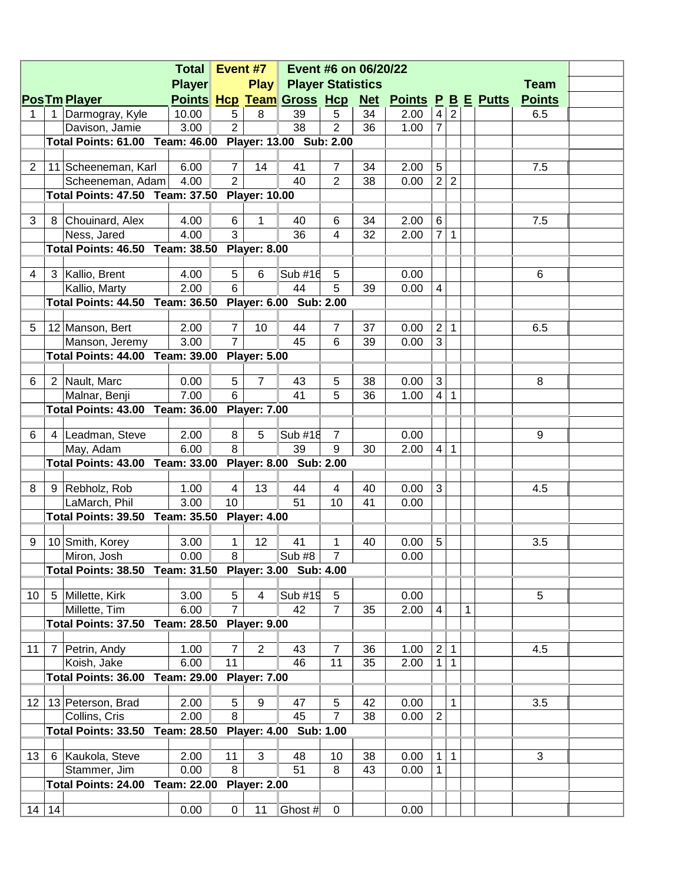|                 |                |                                                         | Total Event #7                     |                 |                     | Event #6 on 06/20/22     |                |    |                                                  |                |                |   |               |  |
|-----------------|----------------|---------------------------------------------------------|------------------------------------|-----------------|---------------------|--------------------------|----------------|----|--------------------------------------------------|----------------|----------------|---|---------------|--|
|                 |                |                                                         | <b>Player</b>                      |                 | <b>Play</b>         | <b>Player Statistics</b> |                |    |                                                  |                |                |   | <b>Team</b>   |  |
|                 |                | <b>PosTm Player</b>                                     |                                    |                 |                     |                          |                |    | Points Hcp Team Gross Hcp Net Points P B E Putts |                |                |   | <b>Points</b> |  |
| 1               |                | 1 Darmogray, Kyle                                       | 10.00                              | 5               | 8                   | 39                       | 5              | 34 | 2.00                                             | $\overline{4}$ | 2              |   | 6.5           |  |
|                 |                | Davison, Jamie                                          | 3.00                               | $\overline{2}$  |                     | 38                       | $\overline{2}$ | 36 | 1.00                                             | $\overline{7}$ |                |   |               |  |
|                 |                | Total Points: 61.00 Team: 46.00 Player: 13.00 Sub: 2.00 |                                    |                 |                     |                          |                |    |                                                  |                |                |   |               |  |
|                 |                |                                                         |                                    |                 |                     |                          |                |    |                                                  |                |                |   |               |  |
| 2               |                | 11 Scheeneman, Karl                                     | 6.00                               | $\overline{7}$  | 14                  | 41                       | $\overline{7}$ | 34 | 2.00                                             | $\sqrt{5}$     |                |   | 7.5           |  |
|                 |                | Scheeneman, Adam                                        | 4.00                               | $\overline{2}$  |                     | 40                       | $\overline{2}$ | 38 | 0.00                                             | $\overline{2}$ | $\overline{2}$ |   |               |  |
|                 |                | Total Points: 47.50 Team: 37.50 Player: 10.00           |                                    |                 |                     |                          |                |    |                                                  |                |                |   |               |  |
|                 |                |                                                         |                                    |                 |                     |                          |                |    |                                                  |                |                |   |               |  |
| 3               |                | 8 Chouinard, Alex                                       | 4.00                               | 6               | $\mathbf{1}$        | 40                       | 6              | 34 | 2.00                                             | $\,6\,$        |                |   | 7.5           |  |
|                 |                | Ness, Jared                                             | 4.00                               | 3               |                     | 36                       | 4              | 32 | 2.00                                             |                | 71             |   |               |  |
|                 |                | Total Points: 46.50 Team: 38.50 Player: 8.00            |                                    |                 |                     |                          |                |    |                                                  |                |                |   |               |  |
|                 |                |                                                         |                                    |                 |                     |                          |                |    |                                                  |                |                |   |               |  |
| 4               |                | 3 Kallio, Brent                                         | 4.00                               | $5\phantom{.0}$ | 6                   | Sub #16                  | 5              |    | 0.00                                             |                |                |   | 6             |  |
|                 |                | Kallio, Marty                                           | 2.00                               | 6               |                     | 44                       | 5              | 39 | 0.00                                             | 4              |                |   |               |  |
|                 |                | Total Points: 44.50 Team: 36.50 Player: 6.00 Sub: 2.00  |                                    |                 |                     |                          |                |    |                                                  |                |                |   |               |  |
|                 |                |                                                         |                                    |                 |                     |                          |                |    |                                                  |                |                |   |               |  |
| 5               |                | 12 Manson, Bert                                         | 2.00                               | $\overline{7}$  | 10                  | 44                       | $\overline{7}$ | 37 | 0.00                                             | 2              | $\mathbf{1}$   |   | 6.5           |  |
|                 |                | Manson, Jeremy                                          | 3.00                               | $\overline{7}$  |                     | 45                       | 6              | 39 | 0.00                                             | $\overline{3}$ |                |   |               |  |
|                 |                | Total Points: 44.00 Team: 39.00 Player: 5.00            |                                    |                 |                     |                          |                |    |                                                  |                |                |   |               |  |
|                 |                |                                                         |                                    |                 |                     |                          |                |    |                                                  |                |                |   |               |  |
| 6               |                | 2 Nault, Marc                                           | 0.00                               | $5\phantom{.0}$ | $\overline{7}$      | 43                       | 5              | 38 | 0.00                                             | $\mathfrak{S}$ |                |   | 8             |  |
|                 |                | Malnar, Benji                                           | 7.00                               | 6               |                     | 41                       | 5              | 36 | 1.00                                             | $\overline{4}$ | $\mathbf{1}$   |   |               |  |
|                 |                | Total Points: 43.00 Team: 36.00 Player: 7.00            |                                    |                 |                     |                          |                |    |                                                  |                |                |   |               |  |
|                 |                |                                                         |                                    |                 |                     |                          |                |    |                                                  |                |                |   |               |  |
| 6               |                | 4 Leadman, Steve                                        | 2.00                               | 8               | 5                   | Sub #18                  | $\overline{7}$ |    | 0.00                                             |                |                |   | 9             |  |
|                 |                | May, Adam                                               | 6.00                               | 8               |                     | 39                       | 9              | 30 | 2.00                                             | $\overline{4}$ | $\mathbf{1}$   |   |               |  |
|                 |                | Total Points: 43.00 Team: 33.00 Player: 8.00 Sub: 2.00  |                                    |                 |                     |                          |                |    |                                                  |                |                |   |               |  |
|                 |                |                                                         |                                    |                 |                     |                          |                |    |                                                  |                |                |   |               |  |
| 8               |                | 9 Rebholz, Rob                                          | 1.00                               | $\overline{4}$  | 13                  | 44                       | $\overline{4}$ | 40 | 0.00                                             | 3              |                |   | 4.5           |  |
|                 |                | LaMarch, Phil                                           | 3.00                               | 10              |                     | 51                       | 10             | 41 | 0.00                                             |                |                |   |               |  |
|                 |                | Total Points: 39.50 Team: 35.50 Player: 4.00            |                                    |                 |                     |                          |                |    |                                                  |                |                |   |               |  |
|                 |                |                                                         |                                    |                 |                     |                          |                |    |                                                  |                |                |   |               |  |
| 9               |                | 10 Smith, Korey                                         | 3.00                               | $\mathbf 1$     | 12                  | 41                       | 1              | 40 | 0.00                                             | $\sqrt{5}$     |                |   | 3.5           |  |
|                 |                | Miron, Josh                                             | 0.00                               | $\overline{8}$  |                     | Sub $#8$                 | $\overline{7}$ |    | 0.00                                             |                |                |   |               |  |
|                 |                | Total Points: 38.50 Team: 31.50 Player: 3.00 Sub: 4.00  |                                    |                 |                     |                          |                |    |                                                  |                |                |   |               |  |
|                 |                |                                                         |                                    |                 |                     |                          |                |    |                                                  |                |                |   |               |  |
| 10 <sup>1</sup> |                | 5 Millette, Kirk                                        | 3.00                               | 5               | 4                   | Sub #19                  | $\overline{5}$ |    | 0.00                                             |                |                |   | 5             |  |
|                 |                | Millette, Tim                                           | 6.00                               | $\overline{7}$  |                     | 42                       | $\overline{7}$ | 35 | 2.00                                             | 4              |                | 1 |               |  |
|                 |                | Total Points: 37.50                                     | Team: 28.50                        |                 | <b>Player: 9.00</b> |                          |                |    |                                                  |                |                |   |               |  |
|                 |                |                                                         |                                    |                 |                     |                          |                |    |                                                  |                |                |   |               |  |
| 11              | $\overline{7}$ | Petrin, Andy                                            | 1.00                               | $\overline{7}$  | 2                   | 43                       | $\overline{7}$ | 36 | 1.00                                             | $\overline{2}$ | $\mathbf{1}$   |   | 4.5           |  |
|                 |                | Koish, Jake                                             | 6.00                               | 11              |                     | 46                       | 11             | 35 | 2.00                                             | $\mathbf{1}$   | $\mathbf{1}$   |   |               |  |
|                 |                | Total Points: 36.00                                     | Team: 29.00 Player: 7.00           |                 |                     |                          |                |    |                                                  |                |                |   |               |  |
|                 |                |                                                         |                                    |                 |                     |                          |                |    |                                                  |                |                |   |               |  |
|                 |                | 12   13   Peterson, Brad                                | 2.00                               | 5               | $\boldsymbol{9}$    | 47                       | 5              | 42 | 0.00                                             |                | 1              |   | 3.5           |  |
|                 |                | Collins, Cris                                           | 2.00                               | 8               |                     | 45                       | $\overline{7}$ | 38 | 0.00                                             | $\overline{2}$ |                |   |               |  |
|                 |                | Total Points: 33.50                                     | Team: 28.50 Player: 4.00 Sub: 1.00 |                 |                     |                          |                |    |                                                  |                |                |   |               |  |
|                 |                |                                                         |                                    |                 |                     |                          |                |    |                                                  |                |                |   |               |  |
| 13 <sup>1</sup> | 6              | Kaukola, Steve                                          | 2.00                               | 11              | $\mathbf{3}$        | 48                       | 10             | 38 | 0.00                                             | $\mathbf 1$    | $\mathbf{1}$   |   | 3             |  |
|                 |                | Stammer, Jim                                            | 0.00                               | 8               |                     | 51                       | 8              | 43 | 0.00                                             | $\mathbf{1}$   |                |   |               |  |
|                 |                | <b>Total Points: 24.00</b>                              | Team: 22.00 Player: 2.00           |                 |                     |                          |                |    |                                                  |                |                |   |               |  |
|                 |                |                                                         |                                    |                 |                     |                          |                |    |                                                  |                |                |   |               |  |
|                 | $14$ 14        |                                                         | 0.00                               | $\overline{0}$  | 11                  | Ghost #                  | $\mathbf 0$    |    | 0.00                                             |                |                |   |               |  |